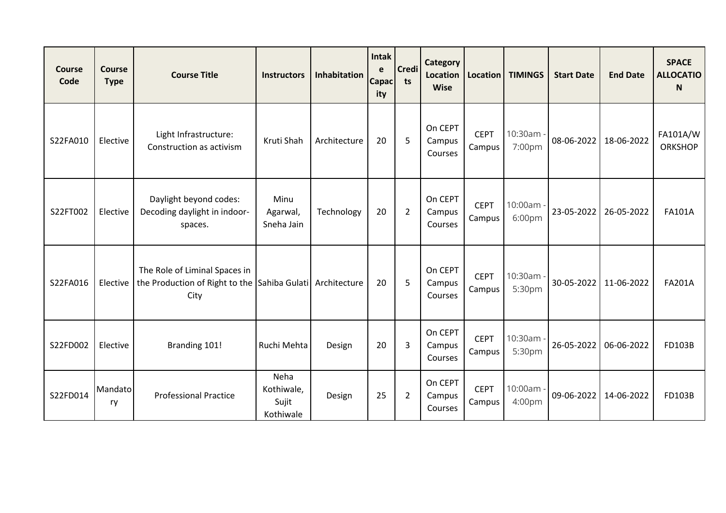| <b>Course</b><br>Code | <b>Course</b><br><b>Type</b> | <b>Course Title</b>                                                                   | <b>Instructors</b>                       | <b>Inhabitation</b> | Intak<br>e<br>Capac <sup>1</sup><br>ity | <b>Credi</b><br>ts | <b>Category</b><br>Location<br><b>Wise</b> | <b>Location</b>       | <b>TIMINGS</b>      | <b>Start Date</b> | <b>End Date</b> | <b>SPACE</b><br><b>ALLOCATIO</b><br><sub>N</sub> |
|-----------------------|------------------------------|---------------------------------------------------------------------------------------|------------------------------------------|---------------------|-----------------------------------------|--------------------|--------------------------------------------|-----------------------|---------------------|-------------------|-----------------|--------------------------------------------------|
| S22FA010              | Elective                     | Light Infrastructure:<br>Construction as activism                                     | Kruti Shah                               | Architecture        | 20                                      | 5                  | On CEPT<br>Campus<br>Courses               | <b>CEPT</b><br>Campus | 10:30am -<br>7:00pm | 08-06-2022        | 18-06-2022      | FA101A/W<br><b>ORKSHOP</b>                       |
| S22FT002              | Elective                     | Daylight beyond codes:<br>Decoding daylight in indoor-<br>spaces.                     | Minu<br>Agarwal,<br>Sneha Jain           | Technology          | 20                                      | $\overline{2}$     | On CEPT<br>Campus<br>Courses               | <b>CEPT</b><br>Campus | 10:00am -<br>6:00pm | 23-05-2022        | 26-05-2022      | <b>FA101A</b>                                    |
| S22FA016              | Elective                     | The Role of Liminal Spaces in<br>the Production of Right to the Sahiba Gulati<br>City |                                          | Architecture        | 20                                      | 5                  | On CEPT<br>Campus<br>Courses               | <b>CEPT</b><br>Campus | 10:30am -<br>5:30pm | 30-05-2022        | 11-06-2022      | <b>FA201A</b>                                    |
| S22FD002              | Elective                     | Branding 101!                                                                         | Ruchi Mehta                              | Design              | 20                                      | 3                  | On CEPT<br>Campus<br>Courses               | <b>CEPT</b><br>Campus | 10:30am -<br>5:30pm | 26-05-2022        | 06-06-2022      | FD103B                                           |
| S22FD014              | Mandato<br>ry                | <b>Professional Practice</b>                                                          | Neha<br>Kothiwale,<br>Sujit<br>Kothiwale | Design              | 25                                      | $\overline{2}$     | On CEPT<br>Campus<br>Courses               | <b>CEPT</b><br>Campus | 10:00am -<br>4:00pm | 09-06-2022        | 14-06-2022      | FD103B                                           |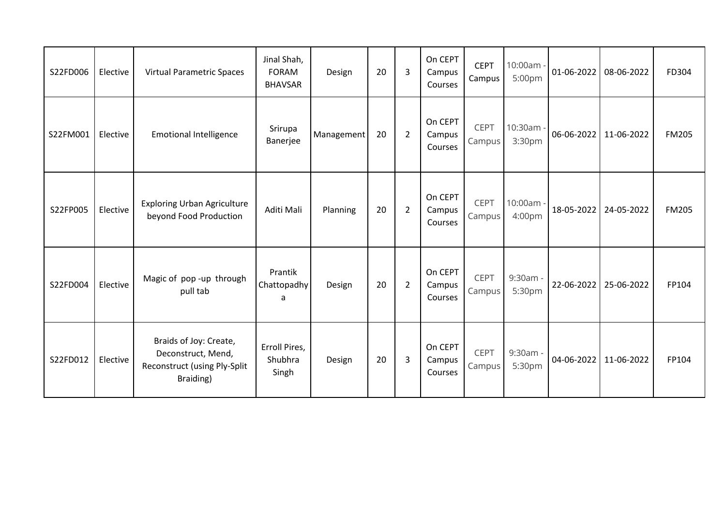| S22FD006 | Elective | <b>Virtual Parametric Spaces</b>                                                          | Jinal Shah,<br><b>FORAM</b><br><b>BHAVSAR</b> | Design     | 20 | 3              | On CEPT<br>Campus<br>Courses | <b>CEPT</b><br>Campus | 10:00am -<br>5:00pm | $01 - 06 - 2022$ | 08-06-2022 | FD304        |
|----------|----------|-------------------------------------------------------------------------------------------|-----------------------------------------------|------------|----|----------------|------------------------------|-----------------------|---------------------|------------------|------------|--------------|
| S22FM001 | Elective | <b>Emotional Intelligence</b>                                                             | Srirupa<br>Banerjee                           | Management | 20 | $\overline{2}$ | On CEPT<br>Campus<br>Courses | CEPT<br>Campus        | 10:30am -<br>3:30pm | 06-06-2022       | 11-06-2022 | <b>FM205</b> |
| S22FP005 | Elective | <b>Exploring Urban Agriculture</b><br>beyond Food Production                              | Aditi Mali                                    | Planning   | 20 | $\overline{2}$ | On CEPT<br>Campus<br>Courses | <b>CEPT</b><br>Campus | 10:00am -<br>4:00pm | 18-05-2022       | 24-05-2022 | <b>FM205</b> |
| S22FD004 | Elective | Magic of pop-up through<br>pull tab                                                       | Prantik<br>Chattopadhy<br>a                   | Design     | 20 | $\overline{2}$ | On CEPT<br>Campus<br>Courses | <b>CEPT</b><br>Campus | 9:30am -<br>5:30pm  | 22-06-2022       | 25-06-2022 | FP104        |
| S22FD012 | Elective | Braids of Joy: Create,<br>Deconstruct, Mend,<br>Reconstruct (using Ply-Split<br>Braiding) | Erroll Pires,<br>Shubhra<br>Singh             | Design     | 20 | 3              | On CEPT<br>Campus<br>Courses | <b>CEPT</b><br>Campus | 9:30am -<br>5:30pm  | 04-06-2022       | 11-06-2022 | FP104        |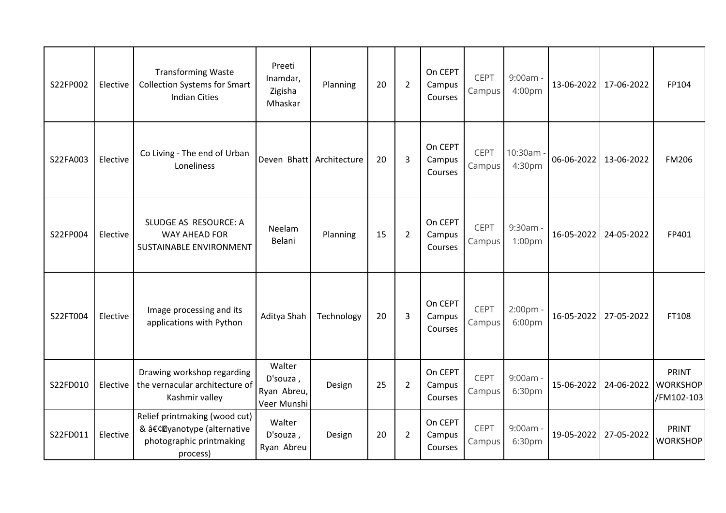| S22FP002 | Elective | <b>Transforming Waste</b><br><b>Collection Systems for Smart</b><br><b>Indian Cities</b>           | Preeti<br>Inamdar,<br>Zigisha<br>Mhaskar         | Planning     | 20 | $\overline{2}$ | On CEPT<br>Campus<br>Courses | CEPT<br>Campus        | 9:00am<br>4:00pm     | 13-06-2022 | 17-06-2022 | FP104                                         |
|----------|----------|----------------------------------------------------------------------------------------------------|--------------------------------------------------|--------------|----|----------------|------------------------------|-----------------------|----------------------|------------|------------|-----------------------------------------------|
| S22FA003 | Elective | Co Living - The end of Urban<br>Loneliness                                                         | Deven Bhatt                                      | Architecture | 20 | 3              | On CEPT<br>Campus<br>Courses | <b>CEPT</b><br>Campus | 10:30am<br>4:30pm    | 06-06-2022 | 13-06-2022 | <b>FM206</b>                                  |
| S22FP004 | Elective | SLUDGE AS RESOURCE: A<br><b>WAY AHEAD FOR</b><br>SUSTAINABLE ENVIRONMENT                           | Neelam<br>Belani                                 | Planning     | 15 | $\overline{2}$ | On CEPT<br>Campus<br>Courses | <b>CEPT</b><br>Campus | 9:30am<br>1:00pm     | 16-05-2022 | 24-05-2022 | FP401                                         |
| S22FT004 | Elective | Image processing and its<br>applications with Python                                               | Aditya Shah                                      | Technology   | 20 | 3              | On CEPT<br>Campus<br>Courses | CEPT<br>Campus        | 2:00pm -<br>6:00pm   | 16-05-2022 | 27-05-2022 | FT108                                         |
| S22FD010 | Elective | Drawing workshop regarding<br>the vernacular architecture of<br>Kashmir valley                     | Walter<br>D'souza,<br>Ryan Abreu,<br>Veer Munshi | Design       | 25 | $\overline{2}$ | On CEPT<br>Campus<br>Courses | <b>CEPT</b><br>Campus | $9:00am -$<br>6:30pm | 15-06-2022 | 24-06-2022 | <b>PRINT</b><br><b>WORKSHOP</b><br>/FM102-103 |
| S22FD011 | Elective | Relief printmaking (wood cut)<br>& •@yanotype (alternative<br>photographic printmaking<br>process) | Walter<br>D'souza,<br>Ryan Abreu                 | Design       | 20 | $\overline{2}$ | On CEPT<br>Campus<br>Courses | <b>CEPT</b><br>Campus | 9:00am<br>6:30pm     | 19-05-2022 | 27-05-2022 | <b>PRINT</b><br><b>WORKSHOP</b>               |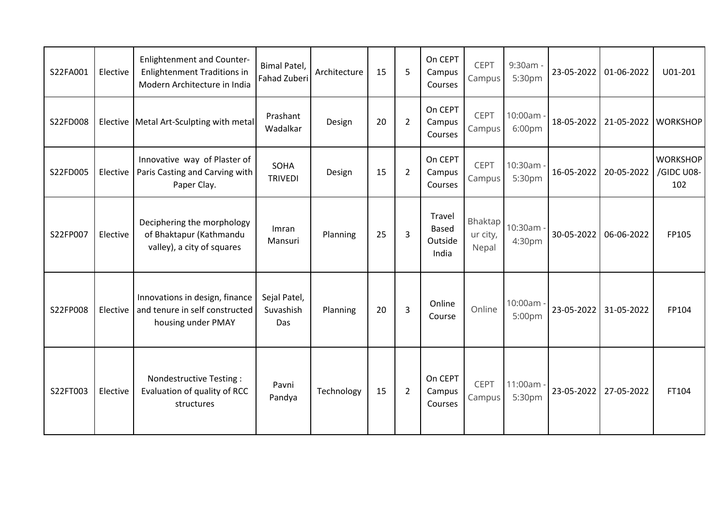| S22FA001 | Elective | <b>Enlightenment and Counter-</b><br><b>Enlightenment Traditions in</b><br>Modern Architecture in India | Bimal Patel,<br><b>Fahad Zuberi</b> | Architecture | 15 | 5              | On CEPT<br>Campus<br>Courses               | <b>CEPT</b><br>Campus        | 9:30am<br>5:30pm    | 23-05-2022 | 01-06-2022 | U01-201                              |
|----------|----------|---------------------------------------------------------------------------------------------------------|-------------------------------------|--------------|----|----------------|--------------------------------------------|------------------------------|---------------------|------------|------------|--------------------------------------|
| S22FD008 |          | Elective   Metal Art-Sculpting with metal                                                               | Prashant<br>Wadalkar                | Design       | 20 | $\overline{2}$ | On CEPT<br>Campus<br>Courses               | <b>CEPT</b><br>Campus        | 10:00am<br>6:00pm   | 18-05-2022 | 21-05-2022 | <b>WORKSHOP</b>                      |
| S22FD005 | Elective | Innovative way of Plaster of<br>Paris Casting and Carving with<br>Paper Clay.                           | SOHA<br><b>TRIVEDI</b>              | Design       | 15 | $\overline{2}$ | On CEPT<br>Campus<br>Courses               | <b>CEPT</b><br>Campus        | 10:30am<br>5:30pm   | 16-05-2022 | 20-05-2022 | <b>WORKSHOP</b><br>/GIDC U08-<br>102 |
| S22FP007 | Elective | Deciphering the morphology<br>of Bhaktapur (Kathmandu<br>valley), a city of squares                     | Imran<br>Mansuri                    | Planning     | 25 | 3              | Travel<br><b>Based</b><br>Outside<br>India | Bhaktap<br>ur city,<br>Nepal | 10:30am -<br>4:30pm | 30-05-2022 | 06-06-2022 | FP105                                |
| S22FP008 | Elective | Innovations in design, finance<br>and tenure in self constructed<br>housing under PMAY                  | Sejal Patel,<br>Suvashish<br>Das    | Planning     | 20 | 3              | Online<br>Course                           | Online                       | 10:00am<br>5:00pm   | 23-05-2022 | 31-05-2022 | FP104                                |
| S22FT003 | Elective | Nondestructive Testing:<br>Evaluation of quality of RCC<br>structures                                   | Pavni<br>Pandya                     | Technology   | 15 | $\overline{2}$ | On CEPT<br>Campus<br>Courses               | <b>CEPT</b><br>Campus        | 11:00am<br>5:30pm   | 23-05-2022 | 27-05-2022 | FT104                                |